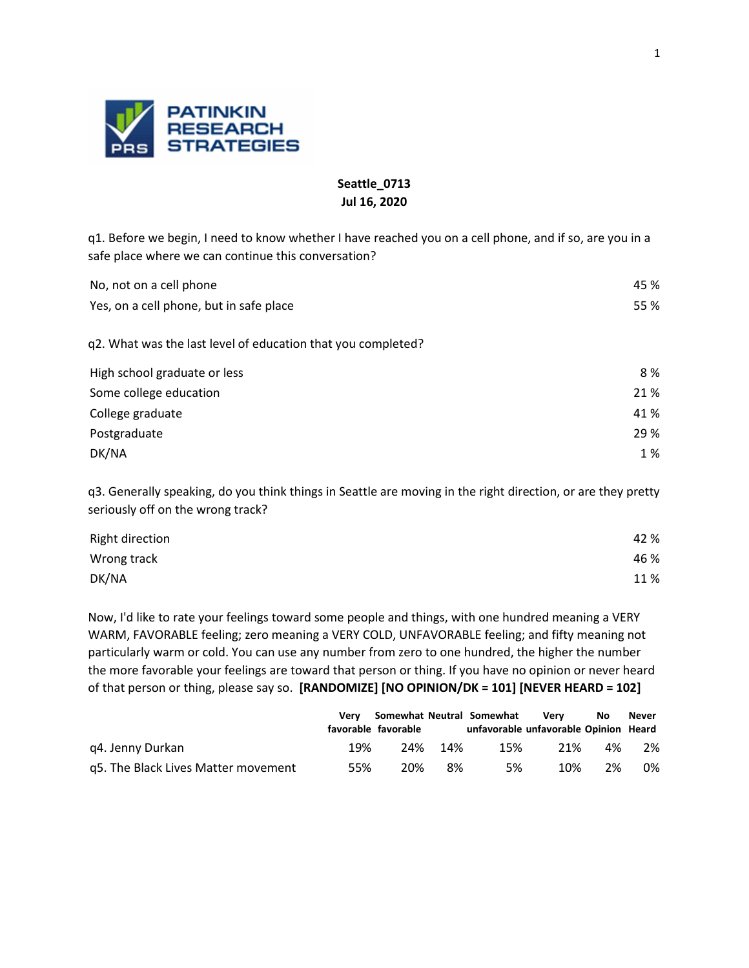

# **Seattle\_0713 Jul 16, 2020**

q1. Before we begin, I need to know whether I have reached you on a cell phone, and if so, are you in a safe place where we can continue this conversation?

| No, not on a cell phone                 | 45 % |
|-----------------------------------------|------|
| Yes, on a cell phone, but in safe place | 55 % |

q2. What was the last level of education that you completed?

| High school graduate or less | 8 %  |
|------------------------------|------|
| Some college education       | 21 % |
| College graduate             | 41 % |
| Postgraduate                 | 29 % |
| DK/NA                        | 1 %  |

q3. Generally speaking, do you think things in Seattle are moving in the right direction, or are they pretty seriously off on the wrong track?

| <b>Right direction</b> | 42 % |
|------------------------|------|
| Wrong track            | 46 % |
| DK/NA                  | 11%  |

Now, I'd like to rate your feelings toward some people and things, with one hundred meaning a VERY WARM, FAVORABLE feeling; zero meaning a VERY COLD, UNFAVORABLE feeling; and fifty meaning not particularly warm or cold. You can use any number from zero to one hundred, the higher the number the more favorable your feelings are toward that person or thing. If you have no opinion or never heard of that person or thing, please say so. **[RANDOMIZE] [NO OPINION/DK = 101] [NEVER HEARD = 102]**

|                                     | Verv | favorable favorable |     | Somewhat Neutral Somewhat | Verv<br>unfavorable unfavorable Opinion Heard | No | <b>Never</b> |
|-------------------------------------|------|---------------------|-----|---------------------------|-----------------------------------------------|----|--------------|
| q4. Jenny Durkan                    | 19%  | 24%                 | 14% | 15%                       | 21%                                           | 4% | 2%           |
| g5. The Black Lives Matter movement | 55%  | 20%                 | 8%  | 5%                        | 10%                                           | 2% | 0%           |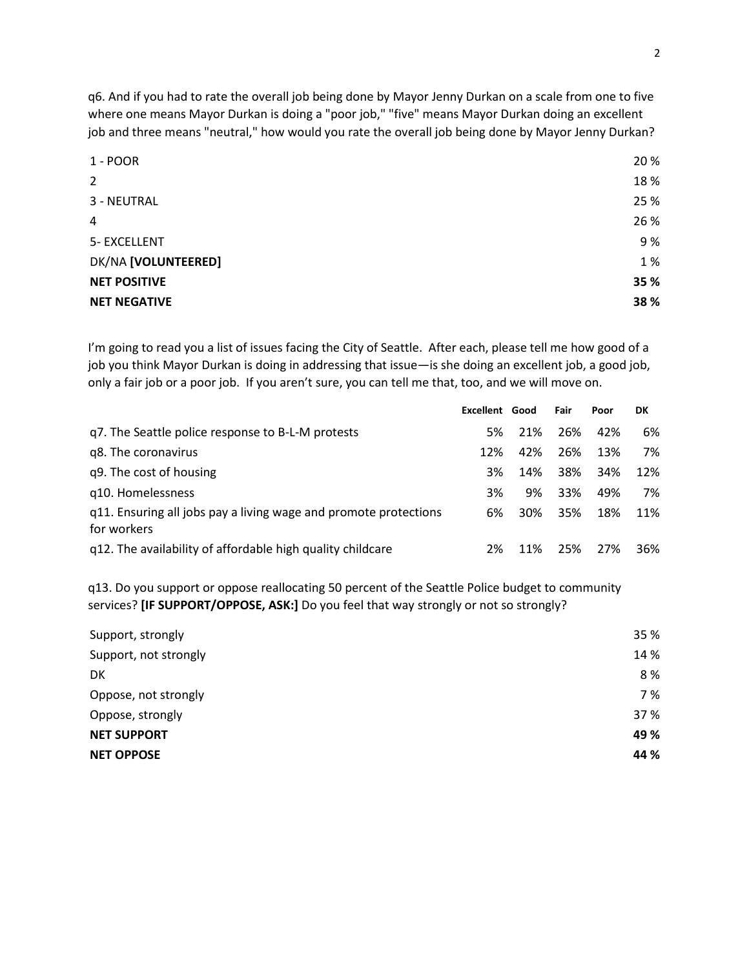q6. And if you had to rate the overall job being done by Mayor Jenny Durkan on a scale from one to five where one means Mayor Durkan is doing a "poor job," "five" means Mayor Durkan doing an excellent job and three means "neutral," how would you rate the overall job being done by Mayor Jenny Durkan?

| $1 - POOR$          | 20 % |
|---------------------|------|
| $\overline{2}$      | 18%  |
| 3 - NEUTRAL         | 25 % |
| 4                   | 26 % |
| 5- EXCELLENT        | 9%   |
| DK/NA [VOLUNTEERED] | 1%   |
| <b>NET POSITIVE</b> | 35 % |
| <b>NET NEGATIVE</b> | 38%  |

I'm going to read you a list of issues facing the City of Seattle. After each, please tell me how good of a job you think Mayor Durkan is doing in addressing that issue—is she doing an excellent job, a good job, only a fair job or a poor job. If you aren't sure, you can tell me that, too, and we will move on.

|                                                                                 | Excellent Good |     | Fair | Poor | DK  |
|---------------------------------------------------------------------------------|----------------|-----|------|------|-----|
| q7. The Seattle police response to B-L-M protests                               | 5%             | 21% | 26%  | 42%  | 6%  |
| q8. The coronavirus                                                             | 12%            | 42% | 26%  | 13%  | 7%  |
| q9. The cost of housing                                                         | 3%             | 14% | 38%  | 34%  | 12% |
| q10. Homelessness                                                               | 3%             | 9%  | 33%  | 49%  | 7%  |
| q11. Ensuring all jobs pay a living wage and promote protections<br>for workers | 6%             | 30% | 35%  | 18%  | 11% |
| q12. The availability of affordable high quality childcare                      | 2%             | 11% | 25%  | 27%  | 36% |

q13. Do you support or oppose reallocating 50 percent of the Seattle Police budget to community services? **[IF SUPPORT/OPPOSE, ASK:]** Do you feel that way strongly or not so strongly?

| <b>NET OPPOSE</b>     | 44 % |
|-----------------------|------|
| <b>NET SUPPORT</b>    | 49 % |
| Oppose, strongly      | 37 % |
| Oppose, not strongly  | 7 %  |
| DK                    | 8%   |
| Support, not strongly | 14 % |
| Support, strongly     | 35 % |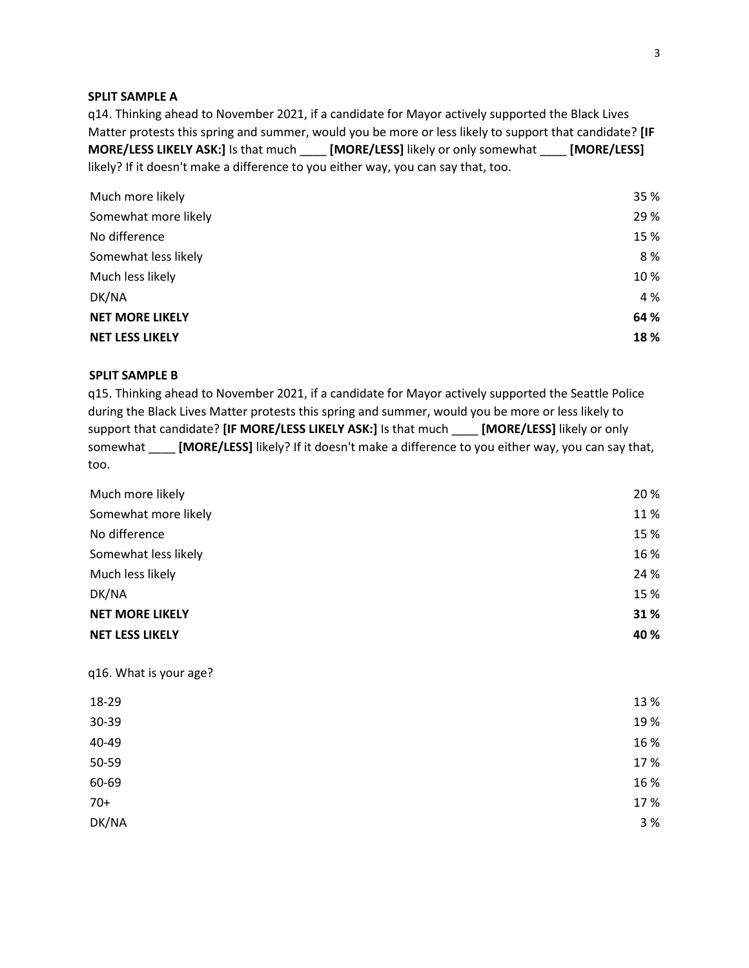#### **SPLIT SAMPLE A**

q14. Thinking ahead to November 2021, if a candidate for Mayor actively supported the Black Lives Matter protests this spring and summer, would you be more or less likely to support that candidate? **[IF MORE/LESS LIKELY ASK:]** Is that much \_\_\_\_ **[MORE/LESS]** likely or only somewhat \_\_\_\_ **[MORE/LESS]** likely? If it doesn't make a difference to you either way, you can say that, too.

| Much more likely       | 35 % |
|------------------------|------|
| Somewhat more likely   | 29 % |
| No difference          | 15 % |
| Somewhat less likely   | 8%   |
| Much less likely       | 10%  |
| DK/NA                  | 4 %  |
| <b>NET MORE LIKELY</b> | 64 % |
| <b>NET LESS LIKELY</b> | 18%  |

## **SPLIT SAMPLE B**

q15. Thinking ahead to November 2021, if a candidate for Mayor actively supported the Seattle Police during the Black Lives Matter protests this spring and summer, would you be more or less likely to support that candidate? **[IF MORE/LESS LIKELY ASK:]** Is that much \_\_\_\_ **[MORE/LESS]** likely or only somewhat \_\_\_\_ **[MORE/LESS]** likely? If it doesn't make a difference to you either way, you can say that, too.

| <b>NET LESS LIKELY</b> | 40 % |
|------------------------|------|
| <b>NET MORE LIKELY</b> | 31%  |
| DK/NA                  | 15 % |
| Much less likely       | 24 % |
| Somewhat less likely   | 16 % |
| No difference          | 15 % |
| Somewhat more likely   | 11%  |
| Much more likely       | 20%  |

#### q16. What is your age?

| 18-29             | 13% |
|-------------------|-----|
| 30-39             | 19% |
| $\frac{1}{40-49}$ | 16% |
| 50-59             | 17% |
| 60-69             | 16% |
| $70+$             | 17% |
| DK/NA             | 3 % |